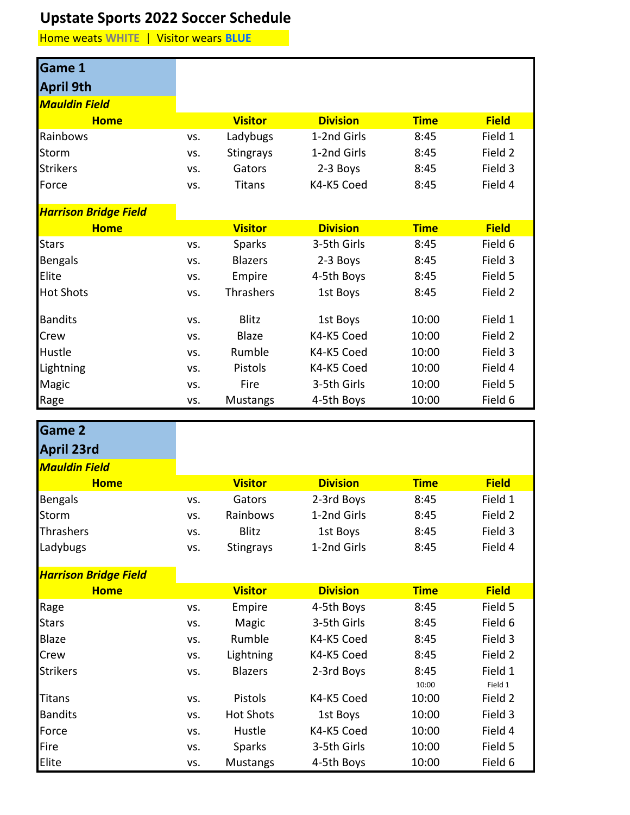## **Upstate Sports 2022 Soccer Schedule**

Home weats **WHITE** | Visitor wears **BLUE**

| <b>Game 1</b>                |     |                  |                 |             |              |
|------------------------------|-----|------------------|-----------------|-------------|--------------|
| <b>April 9th</b>             |     |                  |                 |             |              |
| <b>Mauldin Field</b>         |     |                  |                 |             |              |
| <b>Home</b>                  |     | <b>Visitor</b>   | <b>Division</b> | <b>Time</b> | <b>Field</b> |
| Rainbows                     | VS. | Ladybugs         | 1-2nd Girls     | 8:45        | Field 1      |
| <b>Storm</b>                 | VS. | <b>Stingrays</b> | 1-2nd Girls     | 8:45        | Field 2      |
| <b>Strikers</b>              | VS. | Gators           | 2-3 Boys        | 8:45        | Field 3      |
| Force                        | VS. | <b>Titans</b>    | K4-K5 Coed      | 8:45        | Field 4      |
| <b>Harrison Bridge Field</b> |     |                  |                 |             |              |
| <b>Home</b>                  |     | <b>Visitor</b>   | <b>Division</b> | <b>Time</b> | <b>Field</b> |
| <b>Stars</b>                 | VS. | <b>Sparks</b>    | 3-5th Girls     | 8:45        | Field 6      |
| Bengals                      | VS. | <b>Blazers</b>   | 2-3 Boys        | 8:45        | Field 3      |
| Elite                        | VS. | Empire           | 4-5th Boys      | 8:45        | Field 5      |
| <b>Hot Shots</b>             | VS. | Thrashers        | 1st Boys        | 8:45        | Field 2      |
| <b>Bandits</b>               | VS. | <b>Blitz</b>     | 1st Boys        | 10:00       | Field 1      |
| Crew                         | VS. | Blaze            | K4-K5 Coed      | 10:00       | Field 2      |
| Hustle                       | VS. | Rumble           | K4-K5 Coed      | 10:00       | Field 3      |
| Lightning                    | VS. | Pistols          | K4-K5 Coed      | 10:00       | Field 4      |
| <b>Magic</b>                 | VS. | Fire             | 3-5th Girls     | 10:00       | Field 5      |
| Rage                         | VS. | <b>Mustangs</b>  | 4-5th Boys      | 10:00       | Field 6      |

| <b>Game 2</b>                |     |                  |                 |             |              |
|------------------------------|-----|------------------|-----------------|-------------|--------------|
| <b>April 23rd</b>            |     |                  |                 |             |              |
| <b>Mauldin Field</b>         |     |                  |                 |             |              |
| <b>Home</b>                  |     | <b>Visitor</b>   | <b>Division</b> | <b>Time</b> | <b>Field</b> |
| <b>Bengals</b>               | VS. | Gators           | 2-3rd Boys      | 8:45        | Field 1      |
| Storm                        | VS. | Rainbows         | 1-2nd Girls     | 8:45        | Field 2      |
| Thrashers                    | VS. | <b>Blitz</b>     | 1st Boys        | 8:45        | Field 3      |
| Ladybugs                     | VS. | <b>Stingrays</b> | 1-2nd Girls     | 8:45        | Field 4      |
|                              |     |                  |                 |             |              |
| <b>Harrison Bridge Field</b> |     |                  |                 |             |              |
| <b>Home</b>                  |     | <b>Visitor</b>   | <b>Division</b> | <b>Time</b> | <b>Field</b> |
| Rage                         | VS. | Empire           | 4-5th Boys      | 8:45        | Field 5      |
| <b>Stars</b>                 | VS. | Magic            | 3-5th Girls     | 8:45        | Field 6      |
| <b>Blaze</b>                 | VS. | Rumble           | K4-K5 Coed      | 8:45        | Field 3      |
| Crew                         | VS. | Lightning        | K4-K5 Coed      | 8:45        | Field 2      |
| <b>Strikers</b>              | VS. | <b>Blazers</b>   | 2-3rd Boys      | 8:45        | Field 1      |
|                              |     |                  |                 | 10:00       | Field 1      |
| <b>Titans</b>                | VS. | Pistols          | K4-K5 Coed      | 10:00       | Field 2      |
| <b>Bandits</b>               | VS. | <b>Hot Shots</b> | 1st Boys        | 10:00       | Field 3      |
| Force                        | VS. | Hustle           | K4-K5 Coed      | 10:00       | Field 4      |
| Fire                         | VS. | <b>Sparks</b>    | 3-5th Girls     | 10:00       | Field 5      |
| Elite                        | VS. | <b>Mustangs</b>  | 4-5th Boys      | 10:00       | Field 6      |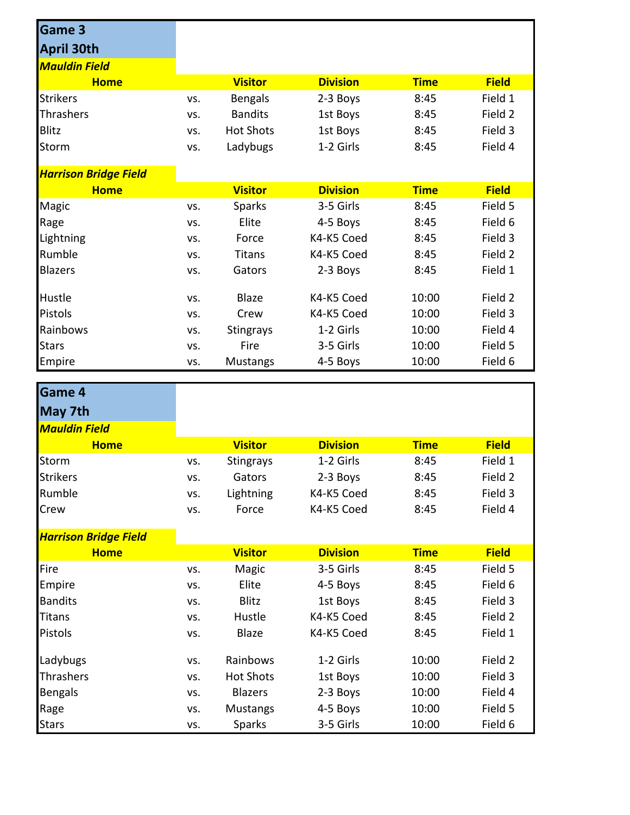| <b>Game 3</b>                |            |                                   |                          |                |                    |
|------------------------------|------------|-----------------------------------|--------------------------|----------------|--------------------|
| <b>April 30th</b>            |            |                                   |                          |                |                    |
| <b>Mauldin Field</b>         |            |                                   |                          |                |                    |
| <b>Home</b>                  |            | <b>Visitor</b>                    | <b>Division</b>          | <b>Time</b>    | <b>Field</b>       |
| <b>Strikers</b>              | VS.        | <b>Bengals</b>                    | 2-3 Boys                 | 8:45           | Field 1            |
| Thrashers                    | VS.        | <b>Bandits</b>                    | 1st Boys                 | 8:45           | Field 2            |
| <b>Blitz</b>                 | VS.        | <b>Hot Shots</b>                  | 1st Boys                 | 8:45           | Field 3            |
| <b>Storm</b>                 | VS.        | Ladybugs                          | 1-2 Girls                | 8:45           | Field 4            |
| <b>Harrison Bridge Field</b> |            |                                   |                          |                |                    |
| <b>Home</b>                  |            | <b>Visitor</b>                    | <b>Division</b>          | <b>Time</b>    | <b>Field</b>       |
| Magic                        | VS.        | <b>Sparks</b>                     | 3-5 Girls                | 8:45           | Field 5            |
| Rage                         | VS.        | Elite                             | 4-5 Boys                 | 8:45           | Field 6            |
| Lightning                    | VS.        | Force                             | K4-K5 Coed               | 8:45           | Field 3            |
| Rumble                       | VS.        | Titans                            | K4-K5 Coed               | 8:45           | Field 2            |
| <b>Blazers</b>               | VS.        | Gators                            | 2-3 Boys                 | 8:45           | Field 1            |
| Hustle                       | VS.        | <b>Blaze</b>                      | K4-K5 Coed               | 10:00          | Field 2            |
| Pistols                      | VS.        | Crew                              | K4-K5 Coed               | 10:00          | Field 3            |
| Rainbows                     | VS.        | <b>Stingrays</b>                  | 1-2 Girls                | 10:00          | Field 4            |
| <b>Stars</b>                 | VS.        | Fire                              | 3-5 Girls                | 10:00          | Field 5            |
| Empire                       | VS.        | <b>Mustangs</b>                   | 4-5 Boys                 | 10:00          | Field 6            |
|                              |            |                                   |                          |                |                    |
|                              |            |                                   |                          |                |                    |
| Game 4                       |            |                                   |                          |                |                    |
| May 7th                      |            |                                   |                          |                |                    |
| <b>Mauldin Field</b>         |            |                                   |                          |                |                    |
| <b>Home</b>                  |            | <b>Visitor</b>                    | <b>Division</b>          | <b>Time</b>    | <b>Field</b>       |
| Storm                        | VS.        | <b>Stingrays</b>                  | 1-2 Girls                | 8:45           | Field 1            |
| Strikers                     | VS.        | Gators                            | 2-3 Boys                 | 8:45           | Field 2            |
| Rumble<br>Crew               | VS.<br>VS. | Lightning<br>Force                | K4-K5 Coed<br>K4-K5 Coed | 8:45<br>8:45   | Field 3<br>Field 4 |
|                              |            |                                   |                          |                |                    |
| <b>Harrison Bridge Field</b> |            |                                   |                          |                |                    |
| <b>Home</b>                  |            | <b>Visitor</b>                    | <b>Division</b>          | <b>Time</b>    | <b>Field</b>       |
| Fire                         | VS.        | Magic                             | 3-5 Girls                | 8:45           | Field 5            |
| Empire                       | VS.        | Elite                             | 4-5 Boys                 | 8:45           | Field 6            |
| <b>Bandits</b>               | VS.        | Blitz                             | 1st Boys                 | 8:45           | Field 3            |
| <b>Titans</b><br>Pistols     | VS.<br>VS. | Hustle<br>Blaze                   | K4-K5 Coed<br>K4-K5 Coed | 8:45<br>8:45   | Field 2<br>Field 1 |
|                              |            |                                   |                          |                |                    |
| Ladybugs                     | VS.        | Rainbows                          | 1-2 Girls                | 10:00          | Field 2            |
| Thrashers                    | VS.        | <b>Hot Shots</b>                  | 1st Boys                 | 10:00          | Field 3            |
| Bengals<br>Rage              | VS.<br>VS. | <b>Blazers</b><br><b>Mustangs</b> | 2-3 Boys<br>4-5 Boys     | 10:00<br>10:00 | Field 4<br>Field 5 |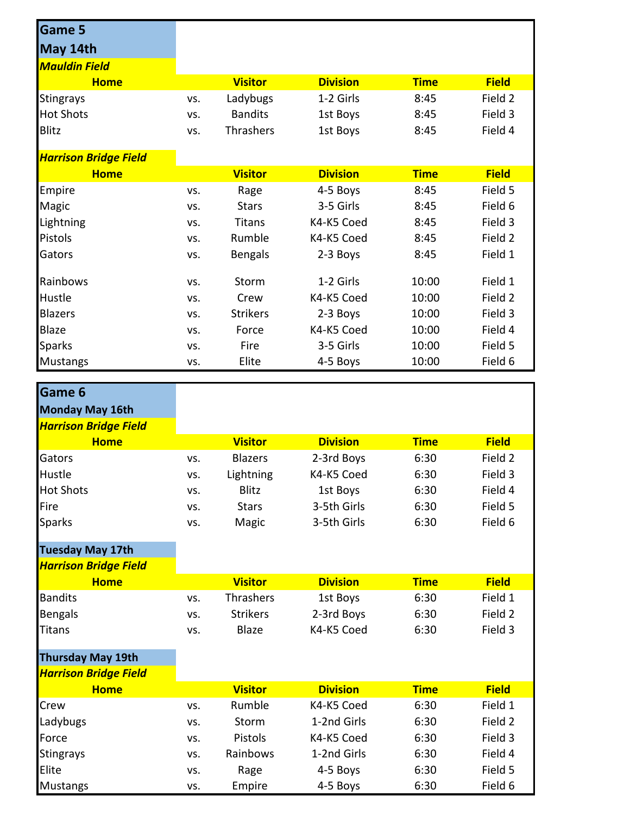| <b>Game 5</b>                |            |                      |                           |              |                    |
|------------------------------|------------|----------------------|---------------------------|--------------|--------------------|
| May 14th                     |            |                      |                           |              |                    |
| <b>Mauldin Field</b>         |            |                      |                           |              |                    |
| <b>Home</b>                  |            | <b>Visitor</b>       | <b>Division</b>           | <b>Time</b>  | <b>Field</b>       |
| <b>Stingrays</b>             | VS.        | Ladybugs             | 1-2 Girls                 | 8:45         | Field 2            |
| <b>Hot Shots</b>             | VS.        | <b>Bandits</b>       | 1st Boys                  | 8:45         | Field 3            |
| <b>Blitz</b>                 | VS.        | Thrashers            | 1st Boys                  | 8:45         | Field 4            |
|                              |            |                      |                           |              |                    |
| <b>Harrison Bridge Field</b> |            |                      |                           |              |                    |
| <b>Home</b>                  |            | <b>Visitor</b>       | <b>Division</b>           | <b>Time</b>  | <b>Field</b>       |
| Empire                       | VS.        | Rage<br><b>Stars</b> | 4-5 Boys<br>3-5 Girls     | 8:45<br>8:45 | Field 5<br>Field 6 |
| Magic<br>Lightning           | VS.        | Titans               | K4-K5 Coed                | 8:45         | Field 3            |
| Pistols                      | VS.        | Rumble               | K4-K5 Coed                | 8:45         | Field 2            |
| Gators                       | VS.        |                      |                           | 8:45         | Field 1            |
|                              | VS.        | <b>Bengals</b>       | 2-3 Boys                  |              |                    |
| Rainbows                     | VS.        | Storm                | 1-2 Girls                 | 10:00        | Field 1            |
| Hustle                       | VS.        | Crew                 | K4-K5 Coed                | 10:00        | Field 2            |
| <b>Blazers</b>               | VS.        | <b>Strikers</b>      | 2-3 Boys                  | 10:00        | Field 3            |
| Blaze                        | VS.        | Force                | K4-K5 Coed                | 10:00        | Field 4            |
| <b>Sparks</b>                | VS.        | Fire                 | 3-5 Girls                 | 10:00        | Field 5            |
| <b>Mustangs</b>              | VS.        | Elite                | 4-5 Boys                  | 10:00        | Field 6            |
|                              |            |                      |                           |              |                    |
| Game 6                       |            |                      |                           |              |                    |
|                              |            |                      |                           |              |                    |
| Monday May 16th              |            |                      |                           |              |                    |
| <b>Harrison Bridge Field</b> |            |                      |                           |              |                    |
| <b>Home</b>                  |            | <b>Visitor</b>       | <b>Division</b>           | <b>Time</b>  | <b>Field</b>       |
| Gators                       | VS.        | <b>Blazers</b>       | 2-3rd Boys                | 6:30         | Field 2            |
| Hustle                       | VS.        | Lightning            | K4-K5 Coed                | 6:30         | Field 3            |
| <b>Hot Shots</b>             | VS.        | <b>Blitz</b>         | 1st Boys                  | 6:30         | Field 4            |
| Fire                         | VS.        | <b>Stars</b>         | 3-5th Girls               | 6:30         | Field 5            |
| <b>Sparks</b>                | VS.        | Magic                | 3-5th Girls               | 6:30         | Field 6            |
| <b>Tuesday May 17th</b>      |            |                      |                           |              |                    |
| <b>Harrison Bridge Field</b> |            |                      |                           |              |                    |
| <b>Home</b>                  |            | <b>Visitor</b>       | <b>Division</b>           | <b>Time</b>  | <b>Field</b>       |
| <b>Bandits</b>               | VS.        | Thrashers            | 1st Boys                  | 6:30         | Field 1            |
| <b>Bengals</b>               | VS.        | <b>Strikers</b>      | 2-3rd Boys                | 6:30         | Field 2            |
| <b>Titans</b>                | VS.        | <b>Blaze</b>         | K4-K5 Coed                | 6:30         | Field 3            |
|                              |            |                      |                           |              |                    |
| <b>Thursday May 19th</b>     |            |                      |                           |              |                    |
| <b>Harrison Bridge Field</b> |            |                      |                           |              |                    |
| <b>Home</b>                  |            | <b>Visitor</b>       | <b>Division</b>           | <b>Time</b>  | <b>Field</b>       |
| Crew                         | VS.<br>VS. | Rumble<br>Storm      | K4-K5 Coed<br>1-2nd Girls | 6:30<br>6:30 | Field 1<br>Field 2 |
| Ladybugs                     | VS.        | Pistols              | K4-K5 Coed                | 6:30         | Field 3            |
| Force                        | VS.        | Rainbows             | 1-2nd Girls               | 6:30         | Field 4            |
| <b>Stingrays</b><br>Elite    | VS.        | Rage                 | 4-5 Boys                  | 6:30         | Field 5            |